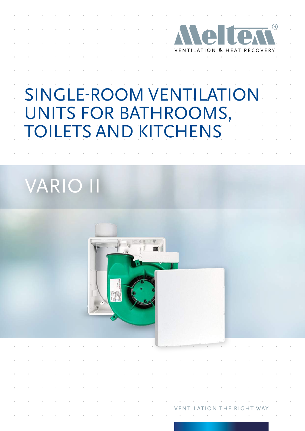

VENTILATION THE RIGHT WAY

# SINGLE-ROOM VENTILATION UNITS FOR BATHROOMS, TOILETS AND KITCHENS

# VARIO II

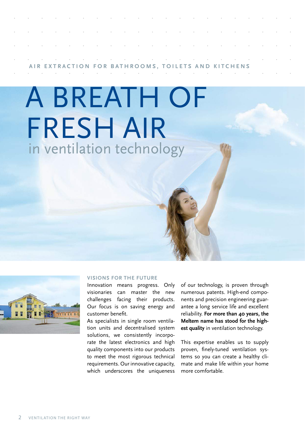|  |  |  | the contract of the contract of the contract of the contract of the contract of the contract of the contract of                                                       |  |  |  |  |  |  |  |
|--|--|--|-----------------------------------------------------------------------------------------------------------------------------------------------------------------------|--|--|--|--|--|--|--|
|  |  |  | the contract of the contract of the contract of the contract of the contract of the contract of the contract of                                                       |  |  |  |  |  |  |  |
|  |  |  |                                                                                                                                                                       |  |  |  |  |  |  |  |
|  |  |  | the contract of the contract of the contract of the contract of the contract of the contract of the contract of<br>AIR EXTRACTION FOR BATHROOMS, TOILETS AND KITCHENS |  |  |  |  |  |  |  |

# A BREATH OF FRESH AIR in ventilation technology



#### **VISIONS FOR THE FUTURE**

Innovation means progress. Only visionaries can master the new challenges facing their products. Our focus is on saving energy and customer benefit.

As specialists in single room ventilation units and decentralised system solutions, we consistently incorporate the latest electronics and high quality components into our products to meet the most rigorous technical requirements. Our innovative capacity, which underscores the uniqueness

of our technology, is proven through numerous patents. High-end components and precision engineering guarantee a long service life and excellent reliability. **For more than 40 years, the Meltem name has stood for the highest quality** in ventilation technology.

This expertise enables us to supply proven, finely-tuned ventilation systems so you can create a healthy climate and make life within your home more comfortable.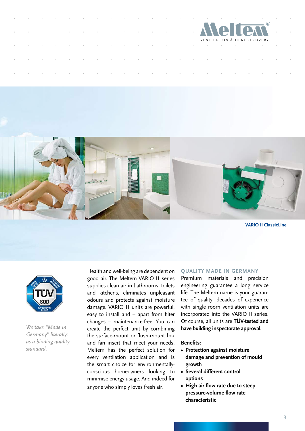



**VARIO II ClassicLine**



*We take "Made in Germany" literally: as a binding quality standard.*

Health and well-being are dependent on good air. The Meltem VARIO II series supplies clean air in bathrooms, toilets and kitchens, eliminates unpleasant odours and protects against moisture damage. VARIO II units are powerful, easy to install and – apart from filter changes – maintenance-free. You can create the perfect unit by combining the surface-mount or flush-mount box and fan insert that meet your needs. Meltem has the perfect solution for every ventilation application and is the smart choice for environmentallyconscious homeowners looking to minimise energy usage. And indeed for anyone who simply loves fresh air.

#### **QUALITY MADE IN GERMANY**

Premium materials and precision engineering guarantee a long service life. The Meltem name is your guarantee of quality; decades of experience with single room ventilation units are incorporated into the VARIO II series. Of course, all units are **TÜV-tested and have building inspectorate approval.** 

#### **Benefits:**

- **• Protection against moisture damage and prevention of mould growth**
- **• Several different control options**
- **• High air flow rate due to steep pressure-volume flow rate characteristic**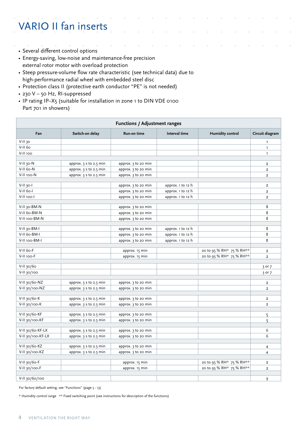## VARIO II fan inserts

- Several different control options
- Energy-saving, low-noise and maintenance-free precision external rotor motor with overload protection
- Steep pressure-volume flow rate characteristic (see technical data) due to high-performance radial wheel with embedded steel disc
- Protection class II (protective earth conductor "PE" is not needed)
- 230 V 50 Hz, RI-suppressed
- IP rating IP-X5 (suitable for installation in zone 1 to DIN VDE 0100 Part 701 in showers)

|                   | <b>Functions / Adjustment ranges</b> |                     |                                                |                          |                         |  |
|-------------------|--------------------------------------|---------------------|------------------------------------------------|--------------------------|-------------------------|--|
| Fan               | Switch-on delay                      | Run-on time         | Interval time                                  | <b>Humidity control</b>  | Circuit diagram         |  |
| $V-II$ 30         |                                      |                     |                                                |                          | $\mathbf{1}$            |  |
| $V$ -II 60        |                                      |                     |                                                |                          | $\mathbf{1}$            |  |
| V-II 100          |                                      |                     |                                                |                          | $\mathbf{I}$            |  |
|                   |                                      |                     |                                                |                          |                         |  |
| $V-II$ 30- $N$    | approx. $35$ to 2.5 min              | approx. 3 to 20 min |                                                |                          | $\overline{2}$          |  |
| V-II 60-N         | approx. $35$ to 2.5 min              | approx. 3 to 20 min |                                                |                          | $\overline{\mathbf{2}}$ |  |
| V-II 100-N        | approx. $3$ s to 2.5 min             | approx. 3 to 20 min |                                                |                          | $\overline{2}$          |  |
| $V-II$ 30- $I$    |                                      | approx. 3 to 20 min | approx. 1 to 12 h                              |                          | $\overline{2}$          |  |
| $V-II$ 60-        |                                      | approx. 3 to 20 min | approx. 1 to 12 h                              |                          | $\overline{2}$          |  |
| V-II 100-I        |                                      | approx. 3 to 20 min | approx. 1 to 12 h                              |                          | $\overline{2}$          |  |
|                   |                                      |                     |                                                |                          |                         |  |
| V-II 30-BM-N      |                                      | approx. 3 to 20 min |                                                |                          | 8                       |  |
| V-II 60-BM-N      |                                      | approx. 3 to 20 min |                                                |                          | 8                       |  |
| V-II 100-BM-N     |                                      | approx. 3 to 20 min |                                                |                          | 8                       |  |
| V-II 30-BM-I      |                                      |                     |                                                |                          | 8                       |  |
| V-II 60-BM-I      |                                      | approx. 3 to 20 min | approx. $1$ to $12$ h                          |                          | 8                       |  |
| V-II 100-BM-I     |                                      | approx. 3 to 20 min | approx. $1$ to $12$ h<br>approx. $1$ to $12$ h |                          | 8                       |  |
|                   |                                      | approx. 3 to 20 min |                                                |                          |                         |  |
| V-II 60-F         |                                      | approx. 15 min      |                                                | 20 to 95 % RH* 75 % RH** | $\overline{2}$          |  |
| V-II 100-F        |                                      | approx. 15 min      |                                                | 20 to 95 % RH* 75 % RH** | $\overline{2}$          |  |
|                   |                                      |                     |                                                |                          |                         |  |
| $V-II$ 30/60      |                                      |                     |                                                |                          | 3 or 7                  |  |
| V-II 30/100       |                                      |                     |                                                |                          | 3 or 7                  |  |
| V-II 30/60-NZ     | approx. 3 s to 2.5 min               | approx. 3 to 20 min |                                                |                          | $\overline{2}$          |  |
| V-II 30/100-NZ    | approx. $35$ to 2.5 min              | approx. 3 to 20 min |                                                |                          | $\overline{2}$          |  |
|                   |                                      |                     |                                                |                          |                         |  |
| $V-II$ 30/60-K    | approx. $3$ s to 2.5 min             | approx. 3 to 20 min |                                                |                          | $\overline{a}$          |  |
| V-II 30/100-K     | approx. $3$ s to 2.5 min             | approx. 3 to 20 min |                                                |                          | $\overline{2}$          |  |
|                   |                                      |                     |                                                |                          |                         |  |
| V-II 30/60-KF     | approx. 3 s to 2.5 min               | approx. 3 to 20 min |                                                |                          | 5                       |  |
| V-II 30/100-KF    | approx. $35$ to 2.5 min              | approx. 3 to 20 min |                                                |                          | 5                       |  |
| V-II 30/60-KF-LX  | approx. $3$ s to 2.5 min             | approx. 3 to 20 min |                                                |                          | 6                       |  |
| V-II 30/100-KF-LX | approx. $3$ s to 2.5 min             | approx. 3 to 20 min |                                                |                          | 6                       |  |
|                   |                                      |                     |                                                |                          |                         |  |
| V-II 30/60-KZ     | approx. 3 s to 2.5 min               | approx. 3 to 20 min |                                                |                          | 4                       |  |
| V-II 30/100-KZ    | approx. $35$ to 2.5 min              | approx. 3 to 20 min |                                                |                          | $\overline{4}$          |  |
|                   |                                      |                     |                                                |                          |                         |  |
| $V-II$ 30/60-F    |                                      | approx. 15 min      |                                                | 20 to 95 % RH* 75 % RH** | 2                       |  |
| V-II 30/100-F     |                                      | approx. 15 min      |                                                | 20 to 95 % RH* 75 % RH** | $\overline{2}$          |  |
| V-II 30/60/100    |                                      |                     |                                                |                          |                         |  |
|                   |                                      |                     |                                                |                          | 9                       |  |

For factory default setting, see "Functions" (page 5 - 13)

 $*$  Humidity control range  $**$  Fixed switching point (see instructions for description of the functions)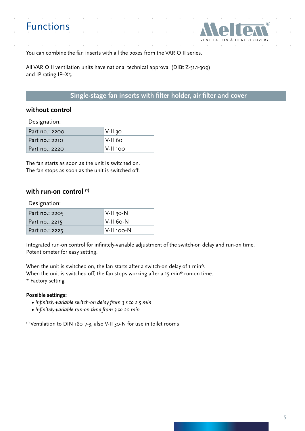## Functions



You can combine the fan inserts with all the boxes from the VARIO II series.

All VARIO II ventilation units have national technical approval (DIBt Z-51.1-309) and IP rating IP–X5.

#### **Single-stage fan inserts with filter holder, air filter and cover**

#### **without control**

Designation:

| Part no.: 2200 | $V$ -II 30 |
|----------------|------------|
| Part no.: 2210 | ∣V-II 60.  |
| Part no.: 2220 | ା V-II 100 |

The fan starts as soon as the unit is switched on. The fan stops as soon as the unit is switched off.

#### **with run-on control (1)**

Designation:

| Part no.: 2205 | V-II 30-N  |
|----------------|------------|
| Part no.: 2215 | V-II 60-N  |
| Part no.: 2225 | V-II 100-N |

Integrated run-on control for infinitely-variable adjustment of the switch-on delay and run-on time. Potentiometer for easy setting.

When the unit is switched on, the fan starts after a switch-on delay of 1 min\*. When the unit is switched off, the fan stops working after a 15 min\* run-on time. \* Factory setting

#### **Possible settings:**

- *Infinitely-variable switch-on delay from 3 s to 2.5 min*
- *Infinitely-variable run-on time from 3 to 20 min*

<sup>(1)</sup> Ventilation to DIN 18017-3, also V-II 30-N for use in toilet rooms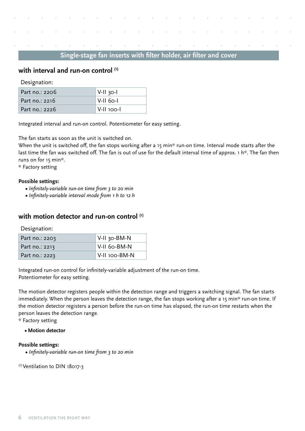#### **with interval and run-on control (1)**

Designation:

| Part no.: 2206 | $V-II$ 30- |
|----------------|------------|
| Part no.: 2216 | V-II 60-I  |
| Part no.: 2226 | V-II 100-I |

Integrated interval and run-on control. Potentiometer for easy setting.

The fan starts as soon as the unit is switched on.

When the unit is switched off, the fan stops working after a 15 min\* run-on time. Interval mode starts after the last time the fan was switched off. The fan is out of use for the default interval time of approx. 1 h<sup>\*</sup>. The fan then runs on for 15 min\*.

\* Factory setting

#### **Possible settings:**

- **•** *Infinitely-variable run-on time from 3 to 20 min*
- **•** *Infinitely-variable interval mode from 1 h to 12 h*

#### **with motion detector and run-on control (1)**

Designation:

| Part no.: 2203 | । V-II 30-BM-N  |
|----------------|-----------------|
| Part no.: 2213 | $V-II$ 60-BM-N  |
| Part no.: 2223 | I V-II 100-BM-N |

Integrated run-on control for infinitely-variable adjustment of the run-on time. Potentiometer for easy setting.

The motion detector registers people within the detection range and triggers a switching signal. The fan starts immediately. When the person leaves the detection range, the fan stops working after a 15 min\* run-on time. If the motion detector registers a person before the run-on time has elapsed, the run-on time restarts when the person leaves the detection range.

\* Factory setting

#### **• Motion detector**

#### **Possible settings:**

**•** *Infinitely-variable run-on time from 3 to 20 min*

(1) Ventilation to DIN 18017-3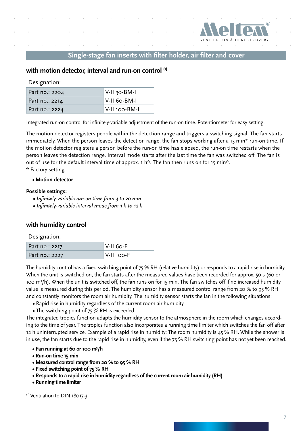

#### **with motion detector, interval and run-on control (1)**

Designation:

| Part no.: 2204 | V-II 30-BM-I  |
|----------------|---------------|
| Part no.: 2214 | V-II 60-BM-I  |
| Part no.: 2224 | V-II 100-BM-I |

Integrated run-on control for infinitely-variable adjustment of the run-on time. Potentiometer for easy setting.

The motion detector registers people within the detection range and triggers a switching signal. The fan starts immediately. When the person leaves the detection range, the fan stops working after a 15 min\* run-on time. If the motion detector registers a person before the run-on time has elapsed, the run-on time restarts when the person leaves the detection range. Interval mode starts after the last time the fan was switched off. The fan is out of use for the default interval time of approx.  $1 \text{ h}$ \*. The fan then runs on for 15 min\*. \* Factory setting

#### **• Motion detector**

#### **Possible settings:**

- **•** *Infinitely-variable run-on time from 3 to 20 min*
- **•** *Infinitely-variable interval mode from 1 h to 12 h*

#### **with humidity control**

Designation:

| Part no.: 2217 | $ V-I160-F $ |
|----------------|--------------|
| Part no.: 2227 | V-II 100-F   |

The humidity control has a fixed switching point of 75 % RH (relative humidity) or responds to a rapid rise in humidity. When the unit is switched on, the fan starts after the measured values have been recorded for approx. 50 s (60 or 100 m<sup>3</sup>/h). When the unit is switched off, the fan runs on for 15 min. The fan switches off if no increased humidity value is measured during this period. The humidity sensor has a measured control range from 20 % to 95 % RH and constantly monitors the room air humidity. The humidity sensor starts the fan in the following situations:

- Rapid rise in humidity regardless of the current room air humidity
- The switching point of 75 % RH is exceeded.

The integrated tropics function adapts the humidity sensor to the atmosphere in the room which changes according to the time of year. The tropics function also incorporates a running time limiter which switches the fan off after 12 h uninterrupted service. Example of a rapid rise in humidity: The room humidity is 45 % RH. While the shower is in use, the fan starts due to the rapid rise in humidity, even if the 75 % RH switching point has not yet been reached.

- **Fan running at 60 or 100 m3 /h**
	- **Run-on time 15 min**
	- **Measured control range from 20 % to 95 % RH**
	- **Fixed switching point of 75 % RH**
	- **Responds to a rapid rise in humidity regardless of the current room air humidity (RH)**
	- **Running time limiter**

<sup>(1)</sup> Ventilation to DIN 18017-3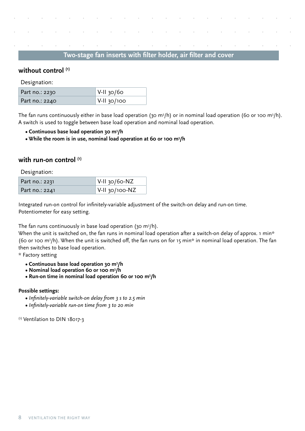#### **without control (1)**

Designation:

| Part no.: 2230 | ∥ V-II 30/60 |
|----------------|--------------|
| Part no.: 2240 | V-II 30/100  |

The fan runs continuously either in base load operation (30 m $^3$ /h) or in nominal load operation (60 or 100 m $^3$ /h). A switch is used to toggle between base load operation and nominal load operation.

- **Continuous base load operation 30 m3 /h**
- **While the room is in use, nominal load operation at 60 or 100 m3 /h**

#### **with run-on control (1)**

Designation:

| Part no.: 2231 | $\sqrt{\frac{V-H}{30}}$ /60-NZ         |
|----------------|----------------------------------------|
| Part no.: 2241 | $\sqrt{\frac{V-H}{30}}$ v-II 30/100-NZ |

Integrated run-on control for infinitely-variable adjustment of the switch-on delay and run-on time. Potentiometer for easy setting.

The fan runs continuously in base load operation (30 m $^3$ /h).

When the unit is switched on, the fan runs in nominal load operation after a switch-on delay of approx. 1 min\* (60 or 100 m<sup>3</sup>/h). When the unit is switched off, the fan runs on for 15 min\* in nominal load operation. The fan then switches to base load operation.

\* Factory setting

- **Continuous base load operation 30 m3 /h**
- **Nominal load operation 60 or 100 m3 /h**
- **Run-on time in nominal load operation 60 or 100 m3 /h**

#### **Possible settings:**

- *Infinitely-variable switch-on delay from 3 s to 2.5 min*
- **•** *Infinitely-variable run-on time from 3 to 20 min*

<sup>(1)</sup> Ventilation to DIN 18017-3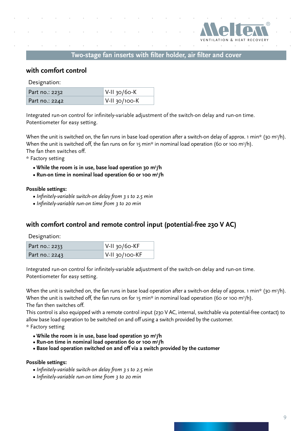

#### **with comfort control**

Designation:

| Part no.: 2232 | $\sqrt{\frac{V-II}{30}}$ Y-II 30/60-K |
|----------------|---------------------------------------|
| Part no.: 2242 | $\sqrt{\frac{V-II}{30}}$ 700-K        |

Integrated run-on control for infinitely-variable adjustment of the switch-on delay and run-on time. Potentiometer for easy setting.

When the unit is switched on, the fan runs in base load operation after a switch-on delay of approx. 1 min\* (30 m<sup>3</sup>/h). When the unit is switched off, the fan runs on for 15 min\* in nominal load operation (60 or 100 m<sup>3</sup>/h). The fan then switches off.

\* Factory setting

- **While the room is in use, base load operation 30 m3 /h**
- **Run-on time in nominal load operation 60 or 100 m3 /h**

#### **Possible settings:**

- *Infinitely-variable switch-on delay from 3 s to 2.5 min*
- **•** *Infinitely-variable run-on time from 3 to 20 min*

#### **with comfort control and remote control input (potential-free 230 V AC)**

Designation:

| Part no.: 2233 | $ V-I1$ 30/60-KF                      |
|----------------|---------------------------------------|
| Part no.: 2243 | $\sqrt{\frac{1}{100}}$ V-II 30/100-KF |

Integrated run-on control for infinitely-variable adjustment of the switch-on delay and run-on time. Potentiometer for easy setting.

When the unit is switched on, the fan runs in base load operation after a switch-on delay of approx. 1 min\* (30 m<sup>3</sup>/h). When the unit is switched off, the fan runs on for 15 min\* in nominal load operation (60 or 100 m3/h). The fan then switches off.

This control is also equipped with a remote control input (230 V AC, internal, switchable via potential-free contact) to allow base load operation to be switched on and off using a switch provided by the customer.

\* Factory setting

- **While the room is in use, base load operation 30 m3 /h**
- **Run-on time in nominal load operation 60 or 100 m3 /h**
	- **Base load operation switched on and off via a switch provided by the customer**

#### **Possible settings:**

- *Infinitely-variable switch-on delay from 3 s to 2.5 min*
- **•** *Infinitely-variable run-on time from 3 to 20 min*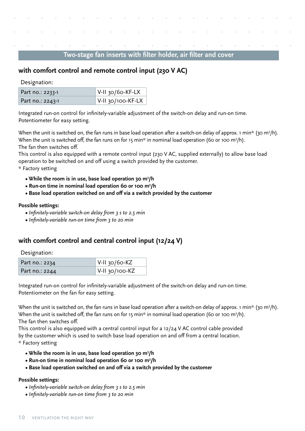#### **with comfort control and remote control input (230 V AC)**

Designation:

| Part no.: 2233-1 | $\sqrt{\frac{1}{1}}$ V-II 30/60-KF-LX    |
|------------------|------------------------------------------|
| Part no.: 2243-1 | $\sqrt{\frac{1}{100}}$ V-II 30/100-KF-LX |

Integrated run-on control for infinitely-variable adjustment of the switch-on delay and run-on time. Potentiometer for easy setting.

When the unit is switched on, the fan runs in base load operation after a switch-on delay of approx. 1 min\* (30 m<sup>3</sup>/h). When the unit is switched off, the fan runs on for 15 min\* in nominal load operation (60 or 100 m<sup>3</sup>/h). The fan then switches off.

This control is also equipped with a remote control input (230 V AC, supplied externally) to allow base load operation to be switched on and off using a switch provided by the customer.

\* Factory setting

- **While the room is in use, base load operation 30 m3 /h**
- **Run-on time in nominal load operation 60 or 100 m3 /h**
	- **Base load operation switched on and off via a switch provided by the customer**

#### **Possible settings:**

- *Infinitely-variable switch-on delay from 3 s to 2.5 min*
- **•** *Infinitely-variable run-on time from 3 to 20 min*

#### **with comfort control and central control input (12/24 V)**

Designation:

| Part no.: 2234 | $ V-H_3o/6o-KZ $  |
|----------------|-------------------|
| Part no.: 2244 | $ V-I1 30/100-KZ$ |

Integrated run-on control for infinitely-variable adjustment of the switch-on delay and run-on time. Potentiometer on the fan for easy setting.

When the unit is switched on, the fan runs in base load operation after a switch-on delay of approx. 1 min\* (30 m<sup>3</sup>/h). When the unit is switched off, the fan runs on for 15 min\* in nominal load operation (60 or 100 m $^3$ /h). The fan then switches off.

This control is also equipped with a central control input for a 12/24 V AC control cable provided by the customer which is used to switch base load operation on and off from a central location. \* Factory setting

- **While the room is in use, base load operation 30 m3 /h**
- **Run-on time in nominal load operation 60 or 100 m3 /h**
	- **Base load operation switched on and off via a switch provided by the customer**

#### **Possible settings:**

- *Infinitely-variable switch-on delay from 3 s to 2.5 min*
- **•** *Infinitely-variable run-on time from 3 to 20 min*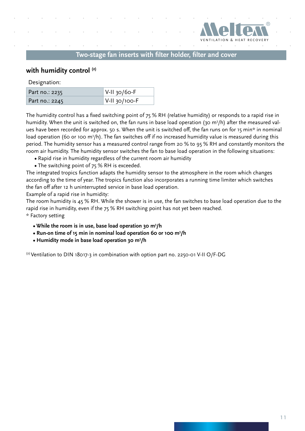

#### **with humidity control (2)**

Designation:

| Part no.: 2235 | $\sqrt{\frac{V-I}{30}}$ V-II 30/60-F |
|----------------|--------------------------------------|
| Part no.: 2245 | $ V-I1$ 30/100-F                     |

The humidity control has a fixed switching point of 75 % RH (relative humidity) or responds to a rapid rise in humidity. When the unit is switched on, the fan runs in base load operation (30 m<sup>3</sup>/h) after the measured values have been recorded for approx. 50 s. When the unit is switched off, the fan runs on for 15 min\* in nominal load operation (60 or 100 m3/h). The fan switches off if no increased humidity value is measured during this period. The humidity sensor has a measured control range from 20 % to 95 % RH and constantly monitors the room air humidity. The humidity sensor switches the fan to base load operation in the following situations:

- Rapid rise in humidity regardless of the current room air humidity
- The switching point of 75 % RH is exceeded.

The integrated tropics function adapts the humidity sensor to the atmosphere in the room which changes according to the time of year. The tropics function also incorporates a running time limiter which switches the fan off after 12 h uninterrupted service in base load operation.

Example of a rapid rise in humidity:

The room humidity is 45 % RH. While the shower is in use, the fan switches to base load operation due to the rapid rise in humidity, even if the 75 % RH switching point has not yet been reached. \* Factory setting

- **While the room is in use, base load operation 30 m3 /h**
- **Run-on time of 15 min in nominal load operation 60 or 100 m3 /h**
- **Humidity mode in base load operation 30 m3 /h**

(2) Ventilation to DIN 18017-3 in combination with option part no. 2250-01 V-II O/F-DG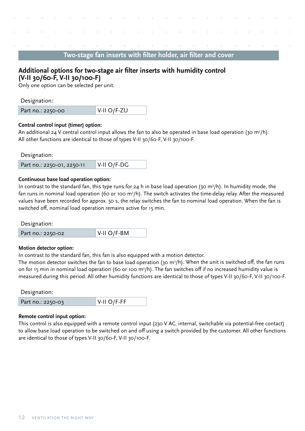#### **Additional options for two-stage air filter inserts with humidity control (V-II 30/60-F, V-II 30/100-F)**

Only one option can be selected per unit.

Designation:

| $\sqrt{\frac{V - \text{II}}{V - \text{II}}}$<br>Part no.: 2250-00 |
|-------------------------------------------------------------------|
|-------------------------------------------------------------------|

#### **Central control input (timer) option:**

An additional 24 V central control input allows the fan to also be operated in base load operation (30 m<sup>3</sup>/h). All other functions are identical to those of types V-II 30/60-F, V-II 30/100-F.

Designation:

| Part no.: 2250-01, 2250-11 | $\parallel$ V-II O/F-DG |
|----------------------------|-------------------------|
|                            |                         |

#### **Continuous base load operation option:**

In contrast to the standard fan, this type runs for 24 h in base load operation (30 m<sup>3</sup>/h). In humidity mode, the fan runs in nominal load operation (60 or 100 m<sup>3</sup>/h). The switch activates the time-delay relay. After the measured values have been recorded for approx. 50 s, the relay switches the fan to nominal load operation. When the fan is switched off, nominal load operation remains active for 15 min.

Designation:

| $ V-H O/F-BM$<br>Part no.: 2250-02 |
|------------------------------------|
|------------------------------------|

#### **Motion detector option:**

In contrast to the standard fan, this fan is also equipped with a motion detector.

The motion detector switches the fan to base load operation (30 m $^3$ /h). When the unit is switched off, the fan runs on for 15 min in nominal load operation (60 or 100 m3 /h). The fan switches off if no increased humidity value is measured during this period. All other humidity functions are identical to those of types V-II 30/60-F, V-II 30/100-F.

Designation:

| Part no.: 2250-03 | $\sqrt{\frac{V}{H}}$ O/F-FF |
|-------------------|-----------------------------|
|                   |                             |

#### **Remote control input option:**

This control is also equipped with a remote control input (230 V AC, internal, switchable via potential-free contact) to allow base load operation to be switched on and off using a switch provided by the customer. All other functions are identical to those of types V-II 30/60-F, V-II 30/100-F.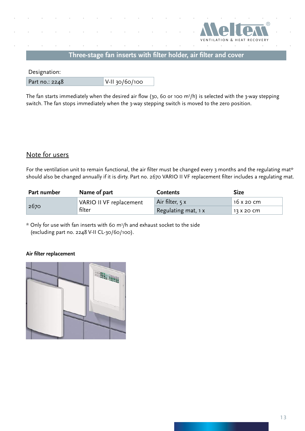

Designation:

Part no.: 2248 V-II 30/60/100

The fan starts immediately when the desired air flow (30, 60 or 100 m $^3$ /h) is selected with the 3-way stepping switch. The fan stops immediately when the 3-way stepping switch is moved to the zero position.

#### Note for users

For the ventilation unit to remain functional, the air filter must be changed every 3 months and the regulating mat\* should also be changed annually if it is dirty. Part no. 2670 VARIO II VF replacement filter includes a regulating mat.

| Part number | Name of part            | <b>Contents</b>     | <b>Size</b> |  |
|-------------|-------------------------|---------------------|-------------|--|
|             | VARIO II VF replacement | Air filter, 5 x     | 16 x 20 cm  |  |
| 2670        | filter                  | Regulating mat, 1 x | 13 X 20 CM  |  |

 $*$  Only for use with fan inserts with 60 m<sup>3</sup>/h and exhaust socket to the side (excluding part no. 2248 V-II CL-30/60/100).

#### **Air filter replacement**

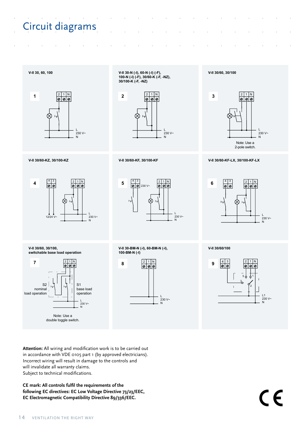# Circuit diagrams



**V-II 30-N (-I), 60-N (-I) (-F), 100-N (-I) (-F), 30/60-K (-F, -NZ), 30/100-K (-F, -NZ)**





4 3  $\begin{array}{|c|c|c|c|}\n\hline\n2 & 1 & N \\
\hline\n\hline\n\phi & \hline\n\phi & \hline\n\end{array}$ **5**  $\boxed{\circ}$  230 V~  $\otimes$ L 230 V~ N

**V-II 30/60, 30/100, switchable base load operation**



**V-II 30-BM-N (-I), 60-BM-N (-I), 100-BM-N (-I)**



 $\begin{array}{|c|c|c|}\n\hline\n2 & 1 & N \\
\hline\n\hline\n\phi & \hline\n\phi & \hline\n\end{array}$ 

**V-II 30/60, 30/100**

Note: Use a 2-pole switch. L 230 V~ N

**V-II 30/60-KZ, 30/100-KZ V-II 30/60-KF, 30/100-KF V-II 30/60-KF-LX, 30/100-KF-LX**



**V-II 30/60/100**



**Attention:** All wiring and modification work is to be carried out in accordance with VDE 0105 part 1 (by approved electricians). Incorrect wiring will result in damage to the controls and will invalidate all warranty claims. Subject to technical modifications.

**CE mark: All controls fulfil the requirements of the following EC directives: EC Low Voltage Directive 73/23/EEC, EC Electromagnetic Compatibility Directive 89/336/EEC.**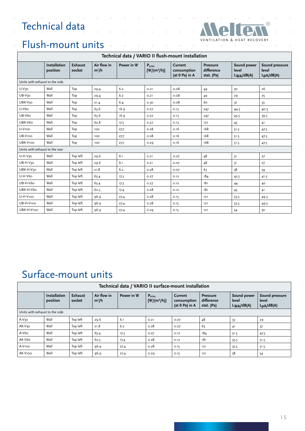## Technical data

 $\overline{\phantom{a}}$ 



 $\sim$   $\sim$ 

### Flush-mount units

|                                | Technical data / VARIO II flush-mount installation |                   |                        |            |                                               |                                          |                                             |                                        |                                      |  |  |
|--------------------------------|----------------------------------------------------|-------------------|------------------------|------------|-----------------------------------------------|------------------------------------------|---------------------------------------------|----------------------------------------|--------------------------------------|--|--|
|                                | <b>Installation</b><br>position                    | Exhaust<br>socket | Air flow in<br>$m^3/h$ | Power in W | $\mathbf{P}_{\text{el,fan}}$<br>$[W/(m^3/h)]$ | Current<br>consumption<br>(at 0 Pa) in A | <b>Pressure</b><br>difference<br>stat. (Pa) | Sound power<br>level<br>$L_{WA}/dB(A)$ | Sound pressure<br>level<br>LpA/dB(A) |  |  |
| Units with exhaust to the side |                                                    |                   |                        |            |                                               |                                          |                                             |                                        |                                      |  |  |
| U-V <sub>30</sub>              | Wall                                               | Top               | 29.4                   | 6.2        | 0.21                                          | 0.08                                     | 49                                          | 30                                     | 26                                   |  |  |
| UB-V <sub>30</sub>             | Wall                                               | Top               | 29.4                   | 6.2        | 0.21                                          | 0.08                                     | 49                                          | 29                                     | 25                                   |  |  |
| UBK-V <sub>30</sub>            | Wall                                               | Top               | 21.4                   | 6.4        | 0.30                                          | 0.08                                     | 60                                          | 37                                     | 33                                   |  |  |
| U-V60                          | Wall                                               | Top               | 63.6                   | 16.9       | 0.27                                          | 0.13                                     | 247                                         | 44.5                                   | 40.5                                 |  |  |
| UB-V60                         | Wall                                               | Top               | 63.6                   | 16.9       | 0.27                                          | 0.13                                     | 247                                         | 43.5<br>39.5                           |                                      |  |  |
| UBK-V6o                        | Wall                                               | Top               | 62.8                   | 17.5       | 0.27                                          | 0.13                                     | 177                                         | 45                                     | 41                                   |  |  |
| <b>U-V100</b>                  | Wall                                               | Top               | 100                    | 27.7       | 0.28                                          | 0.16                                     | 168                                         | 51.5                                   | 47.5                                 |  |  |
| UB-V100                        | Wall                                               | Top               | 100                    | 27.7       | 0.28                                          | 0.16                                     | 168                                         | 51.5                                   | 47.5                                 |  |  |
| UBK-V100                       | Wall                                               | Top               | 100                    | 27.7       | 0.29                                          | 0.16                                     | 168                                         | 51.5                                   | 47.5                                 |  |  |
| Units with exhaust to the rear |                                                    |                   |                        |            |                                               |                                          |                                             |                                        |                                      |  |  |
| U-H V30                        | Wall                                               | Top left          | 29.6                   | 6.1        | 0.21                                          | 0.07                                     | 48                                          | 31                                     | 27                                   |  |  |
| UB-H V30                       | Wall                                               | Top left          | 29.6                   | 6.1        | 0.21                                          | 0.07                                     | 48                                          | 31                                     | 27                                   |  |  |
| UBK-H-V30                      | Wall                                               | Top left          | 21.8                   | 6.2        | 0.28                                          | 0.07                                     | 63                                          | 38                                     | 34                                   |  |  |
| <b>U-H V6o</b>                 | Wall                                               | Top left          | 65.4                   | 17.3       | 0.27                                          | 0.12                                     | 184                                         | 45.5                                   | 41.5                                 |  |  |
| <b>UB-H-V6o</b>                | Wall                                               | Top left          | 65.4                   | 17.3       | 0.27                                          | 0.12                                     | 181                                         | 44                                     | 40                                   |  |  |
| UBK-H-V60                      | Wall                                               | Top left          | 62.5                   | 17.4       | 0.28                                          | 0.12                                     | 181                                         | 45                                     | 41                                   |  |  |
| U-H V100                       | Wall                                               | Top left          | 96.9                   | 27.4       | 0.28                                          | 0.15                                     | 121                                         | 53.5                                   | 49.5                                 |  |  |
| UB-H-V100                      | Wall                                               | Top left          | 96.9                   | 27.4       | 0.28                                          | 0.15                                     | 121                                         | 53.5                                   | 49.5                                 |  |  |
| UBK-H-V100                     | Wall                                               | Top left          | 96.9                   | 27.4       | 0.29                                          | 0.15                                     | 121                                         | 54                                     | 50                                   |  |  |

### Surface-mount units

| Technical data / VARIO II surface-mount installation |                                 |                          |                        |            |                               |                                          |                                             |                                        |                                                   |  |
|------------------------------------------------------|---------------------------------|--------------------------|------------------------|------------|-------------------------------|------------------------------------------|---------------------------------------------|----------------------------------------|---------------------------------------------------|--|
|                                                      | <b>Installation</b><br>position | <b>Exhaust</b><br>socket | Air flow in<br>$m^3/h$ | Power in W | $P_{el,fan}$<br>$[W/(m^3/h)]$ | Current<br>consumption<br>(at 0 Pa) in A | <b>Pressure</b><br>difference<br>stat. (Pa) | Sound power<br>level<br>$L_{WA}/dB(A)$ | Sound pressure<br>level<br>L <sub>pA</sub> /dB(A) |  |
| Units with exhaust to the side                       |                                 |                          |                        |            |                               |                                          |                                             |                                        |                                                   |  |
| $A-V3O$                                              | Wall                            | Top left                 | 29.6                   | 6.1        | 0.21                          | 0.07                                     | 48                                          | 33                                     | 29                                                |  |
| AK-V30                                               | Wall                            | Top left                 | 21.8                   | 6.2        | 0.28                          | 0.07                                     | 63                                          | 4 <sup>1</sup>                         | 37                                                |  |
| $A-V6O$                                              | Wall                            | Top left                 | 65.4                   | 17.3       | O.27                          | 0.12                                     | 184                                         | 51.5                                   | 47.5                                              |  |
| AK-V6o                                               | Wall                            | Top left                 | 62.5                   | 17.4       | 0.28                          | 0.12                                     | 181                                         | 55.5                                   | 51.5                                              |  |
| A-V <sub>100</sub>                                   | Wall                            | Top left                 | 96.9                   | 27.4       | 0.28                          | 0.15                                     | 121                                         | 55.5                                   | 51.5                                              |  |
| AK-V100                                              | Wall                            | Top left                 | 96.9                   | 27.4       | 0.29                          | 0.15                                     | 121                                         | 58                                     | 54                                                |  |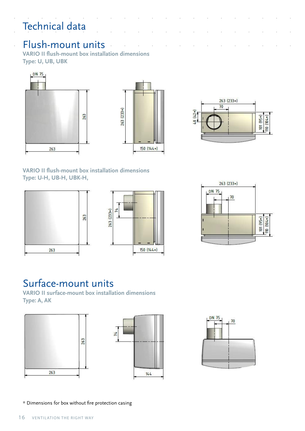# Technical data

l,

### Flush-mount units

**VARIO II flush-mount box installation dimensions Type: U, UB, UBK**





**VARIO II flush-mount box installation dimensions Type: U-H, UB-H, UBK-H,** 







### Surface-mount units

**VARIO II surface-mount box installation dimensions Type: A, AK**







\* Dimensions for box without fire protection casing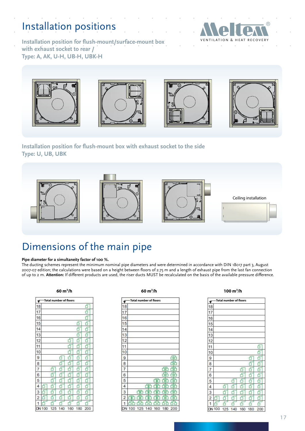## Installation positions



**Installation position for flush-mount/surface-mount box with exhaust socket to rear / Type: A, AK, U-H, UB-H, UBK-H**









**Installation position for flush-mount box with exhaust socket to the side Type: U, UB, UBK**









### Dimensions of the main pipe

#### **Pipe diameter for a simultaneity factor of 100 %.**

The ducting schemes represent the minimum nominal pipe diameters and were determined in accordance with DIN 18017 part 3, August 2007-07 edition; the calculations were based on a height between floors of 2.75 m and a length of exhaust pipe from the last fan connection of up to 2 m. **Attention:** If different products are used, the riser ducts MUST be recalculated on the basis of the available pressure difference.

#### **60 m3**

|                |     |        |     | Total number of floors |     |     |
|----------------|-----|--------|-----|------------------------|-----|-----|
| 18             |     |        |     |                        |     | 5   |
| 17             |     |        |     |                        |     |     |
| 16             |     |        |     |                        |     |     |
| 15             |     |        |     |                        | ŕ   |     |
| 4<br>1         |     |        |     |                        |     |     |
| 13             |     |        |     |                        |     |     |
| 12             |     |        |     | ť                      |     |     |
| 1<br>1         |     |        |     |                        |     |     |
| 10             |     |        |     |                        |     |     |
| 9              |     |        |     |                        | ٦   |     |
| 8              |     |        |     | Ť                      |     | ħ   |
| 7              |     | Ė      |     |                        |     |     |
| 6              |     |        |     |                        |     |     |
| 5              |     |        |     |                        |     | Ì   |
| 4              |     |        |     |                        |     | 5   |
| 3              |     |        |     |                        |     |     |
| $\overline{2}$ |     |        |     |                        | ı   |     |
|                |     | ī<br>r | ŕ   | ŕ                      | r   | ł   |
| W              | 100 | 125    | 140 | 160                    | 180 | 200 |

#### **/h 60 m3**

| <b>Total number of floors</b> |     |     |     |    | Total number of floors                 |    |        |     | -Total number of floors |     |
|-------------------------------|-----|-----|-----|----|----------------------------------------|----|--------|-----|-------------------------|-----|
|                               |     |     | 占   | 18 |                                        | 18 |        |     |                         |     |
|                               |     |     | 占   | 17 |                                        | 17 |        |     |                         |     |
|                               |     |     | f   | 16 |                                        | 16 |        |     |                         |     |
|                               |     | ó   | ð   | 15 |                                        | 15 |        |     |                         |     |
|                               |     | fī  | Ő   | 14 |                                        | 14 |        |     |                         |     |
|                               |     | f   | fī  | 13 |                                        | 13 |        |     |                         |     |
|                               | ▬   | ó   | ń   | 12 |                                        | 12 |        |     |                         |     |
|                               |     | f   | F   | 11 |                                        | 11 |        |     |                         |     |
|                               |     | Ő   | ń   | 10 |                                        | 10 |        |     |                         |     |
| Æ                             |     | 6   | đ   | 9  | 品                                      | 9  |        |     |                         |     |
| h                             | ÷   | ó   | ń   | 8  | 612                                    | 8  |        |     |                         |     |
| đ<br>6                        | f   | 6   | 占   |    | 虛<br>6ħ                                |    |        |     |                         | Ò   |
| 占<br>f                        | 占   | fī  | ń   | 6  | 品<br>۸r                                | 6  |        |     |                         | 占   |
| ſ<br>f                        |     | fī  | ń   | 5  | 币<br>冊                                 | 5  |        |     | đ                       | ð   |
| đ<br>ó                        | 占   | ő   | ó   | 4  | ďc<br>而<br>冊                           | 4  |        |     | fī                      | 占   |
| 6<br>6                        | fī  | 6   | ń   | 3  | 品<br>虛<br>66<br>۵r<br>7<br>۳           | 3  |        |     | 币                       | fī  |
| fī<br>ð                       | fī  | 6   | đ   | 2  | 币                                      | 2  |        |     | f                       | fī  |
| E                             |     | 石   | 卢   |    | 白亡                                     |    |        |     | 占                       |     |
| $^{00}$<br>125 140            | 160 | 180 | 200 |    | 200<br>160<br>180<br>125 140<br>DN 100 |    | DN 100 | 125 | 140                     | 160 |

#### **/h 100 m3 /h**

|    |     |     | Total number of floors |     |     |     |
|----|-----|-----|------------------------|-----|-----|-----|
| 18 |     |     |                        |     |     |     |
| 17 |     |     |                        |     |     |     |
| 16 |     |     |                        |     |     |     |
| 15 |     |     |                        |     |     |     |
| 14 |     |     |                        |     |     |     |
| 3  |     |     |                        |     |     |     |
| 12 |     |     |                        |     |     |     |
| 11 |     |     |                        |     |     |     |
| 10 |     |     |                        |     |     |     |
| 9  |     |     |                        |     |     |     |
| 8  |     |     |                        |     |     |     |
| 7  |     |     |                        |     |     |     |
| 6  |     |     |                        |     |     |     |
| 5  |     |     |                        |     |     |     |
| 4  |     |     |                        |     |     |     |
| 3  |     |     |                        |     |     |     |
| 2  |     |     |                        |     |     |     |
| 1  |     |     |                        | r   | r   |     |
| ÚN | 100 | 125 | 140                    | 160 | 180 | 200 |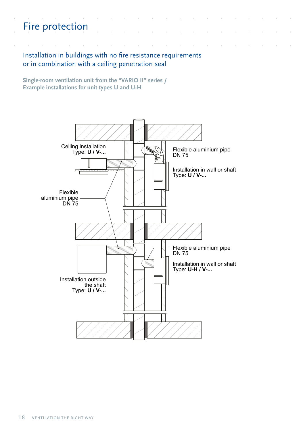# Fire protection

#### Installation in buildings with no fire resistance requirements or in combination with a ceiling penetration seal

**Single-room ventilation unit from the "VARIO II" series / Example installations for unit types U and U-H**

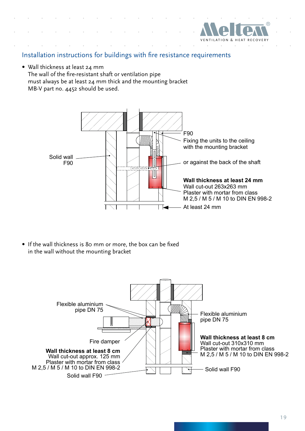

#### Installation instructions for buildings with fire resistance requirements

• Wall thickness at least 24 mm The wall of the fire-resistant shaft or ventilation pipe must always be at least 24 mm thick and the mounting bracket MB-V part no. 4452 should be used.



• If the wall thickness is 80 mm or more, the box can be fixed in the wall without the mounting bracket

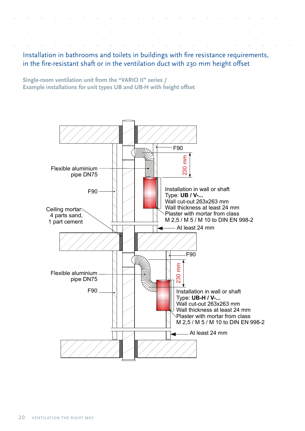Installation in bathrooms and toilets in buildings with fire resistance requirements, in the fire-resistant shaft or in the ventilation duct with 230 mm height offset

**Single-room ventilation unit from the "VARIO II" series / Example installations for unit types UB and UB-H with height offset**

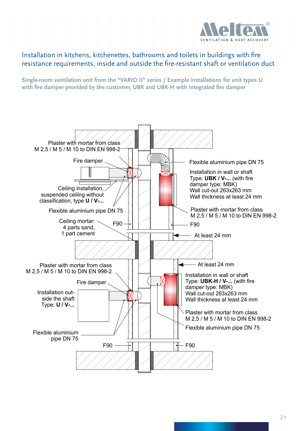

Installation in kitchens, kitchenettes, bathrooms and toilets in buildings with fire resistance requirements, inside and outside the fire-resistant shaft or ventilation duct

**Single-room ventilation unit from the "VARIO II" series / Example installations for unit types U with fire damper provided by the customer, UBK and UBK-H with integrated fire damper**

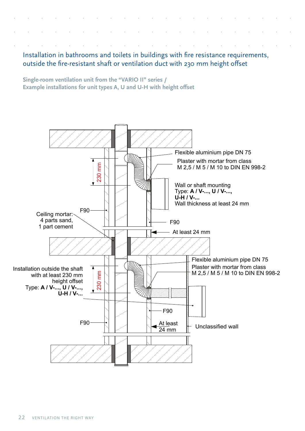Installation in bathrooms and toilets in buildings with fire resistance requirements, outside the fire-resistant shaft or ventilation duct with 230 mm height offset

**Single-room ventilation unit from the "VARIO II" series / Example installations for unit types A, U and U-H with height offset**

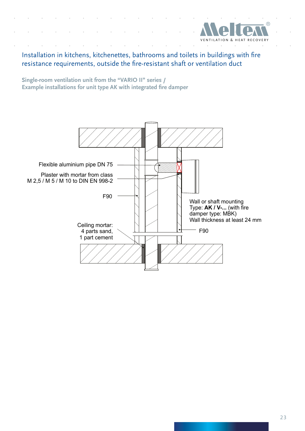

Installation in kitchens, kitchenettes, bathrooms and toilets in buildings with fire resistance requirements, outside the fire-resistant shaft or ventilation duct

**Single-room ventilation unit from the "VARIO II" series / Example installations for unit type AK with integrated fire damper** 

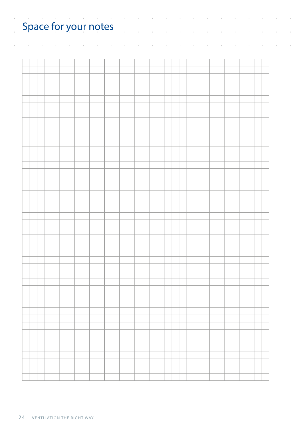| $\alpha$ , and $\alpha$ , and $\alpha$<br>$\circ$<br>Space for your notes |  |  |
|---------------------------------------------------------------------------|--|--|
|                                                                           |  |  |
|                                                                           |  |  |
|                                                                           |  |  |
|                                                                           |  |  |
|                                                                           |  |  |
|                                                                           |  |  |
|                                                                           |  |  |
|                                                                           |  |  |
|                                                                           |  |  |
|                                                                           |  |  |
|                                                                           |  |  |
|                                                                           |  |  |
|                                                                           |  |  |
|                                                                           |  |  |
|                                                                           |  |  |
|                                                                           |  |  |
|                                                                           |  |  |
|                                                                           |  |  |
|                                                                           |  |  |
|                                                                           |  |  |
|                                                                           |  |  |
|                                                                           |  |  |
|                                                                           |  |  |
|                                                                           |  |  |
|                                                                           |  |  |
|                                                                           |  |  |
|                                                                           |  |  |
|                                                                           |  |  |
|                                                                           |  |  |
|                                                                           |  |  |
|                                                                           |  |  |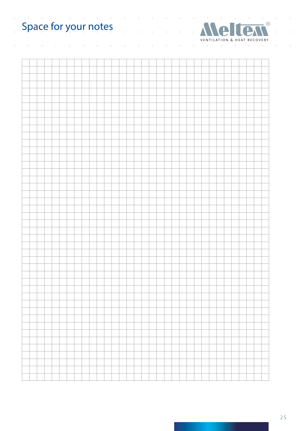#### $\mathcal{A}^{\mathcal{A}}$  , and  $\mathcal{A}^{\mathcal{A}}$  , and  $\mathcal{A}^{\mathcal{A}}$ Space for your notes



 $\overline{a}$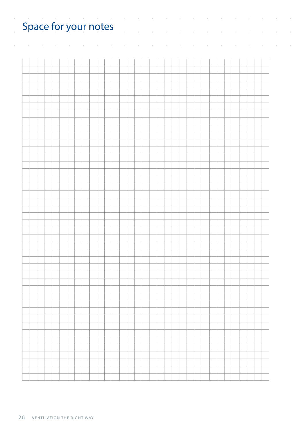| $\alpha$ , and $\alpha$ , and $\alpha$<br>$\circ$<br>Space for your notes |  |  |
|---------------------------------------------------------------------------|--|--|
|                                                                           |  |  |
|                                                                           |  |  |
|                                                                           |  |  |
|                                                                           |  |  |
|                                                                           |  |  |
|                                                                           |  |  |
|                                                                           |  |  |
|                                                                           |  |  |
|                                                                           |  |  |
|                                                                           |  |  |
|                                                                           |  |  |
|                                                                           |  |  |
|                                                                           |  |  |
|                                                                           |  |  |
|                                                                           |  |  |
|                                                                           |  |  |
|                                                                           |  |  |
|                                                                           |  |  |
|                                                                           |  |  |
|                                                                           |  |  |
|                                                                           |  |  |
|                                                                           |  |  |
|                                                                           |  |  |
|                                                                           |  |  |
|                                                                           |  |  |
|                                                                           |  |  |
|                                                                           |  |  |
|                                                                           |  |  |
|                                                                           |  |  |
|                                                                           |  |  |
|                                                                           |  |  |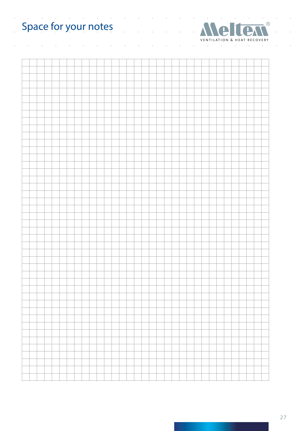# Space for your notes



 $\overline{\phantom{a}}$